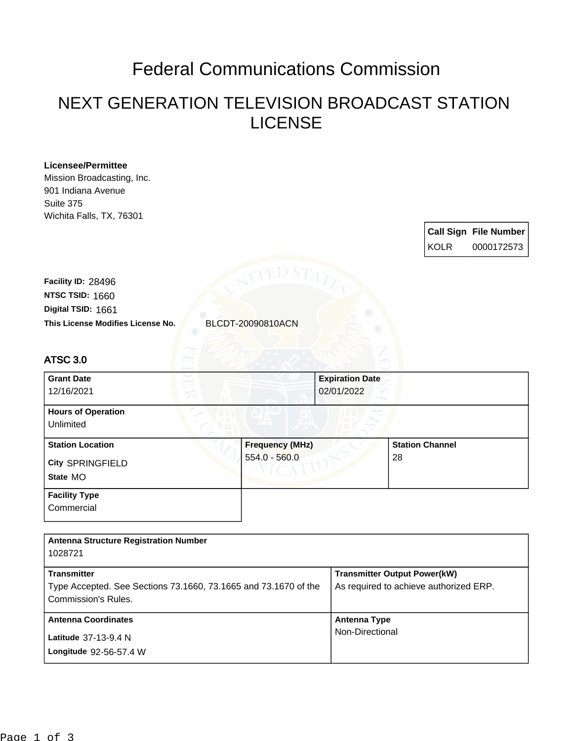## Federal Communications Commission

## NEXT GENERATION TELEVISION BROADCAST STATION LICENSE

| <b>Licensee/Permittee</b><br>Mission Broadcasting, Inc.<br>901 Indiana Avenue<br>Suite 375<br>Wichita Falls, TX, 76301 |                   |                                      |                                                                               |                              |
|------------------------------------------------------------------------------------------------------------------------|-------------------|--------------------------------------|-------------------------------------------------------------------------------|------------------------------|
|                                                                                                                        |                   |                                      |                                                                               | <b>Call Sign File Number</b> |
|                                                                                                                        |                   |                                      | <b>KOLR</b>                                                                   | 0000172573                   |
| Facility ID: 28496<br>NTSC TSID: 1660<br>Digital TSID: 1661<br>This License Modifies License No.                       | BLCDT-20090810ACN |                                      |                                                                               |                              |
| <b>ATSC 3.0</b>                                                                                                        |                   |                                      |                                                                               |                              |
| <b>Grant Date</b><br>12/16/2021                                                                                        |                   | <b>Expiration Date</b><br>02/01/2022 |                                                                               |                              |
| <b>Hours of Operation</b><br>Unlimited                                                                                 |                   |                                      |                                                                               |                              |
| <b>Station Location</b>                                                                                                | Frequency (MHz)   |                                      | <b>Station Channel</b>                                                        |                              |
| City SPRINGFIELD<br>State MO                                                                                           | 554.0 - 560.0     |                                      | 28                                                                            |                              |
| <b>Facility Type</b><br>Commercial                                                                                     |                   |                                      |                                                                               |                              |
| <b>Antenna Structure Registration Number</b><br>1028721                                                                |                   |                                      |                                                                               |                              |
| <b>Transmitter</b>                                                                                                     |                   |                                      | <b>Transmitter Output Power(kW)</b><br>As required to achieve authorized ERP. |                              |
| Type Accepted. See Sections 73.1660, 73.1665 and 73.1670 of the<br>Commission's Rules.                                 |                   |                                      |                                                                               |                              |
| <b>Antenna Coordinates</b>                                                                                             |                   |                                      | <b>Antenna Type</b>                                                           |                              |
| Latitude 37-13-9.4 N                                                                                                   |                   | Non-Directional                      |                                                                               |                              |
| Longitude 92-56-57.4 W                                                                                                 |                   |                                      |                                                                               |                              |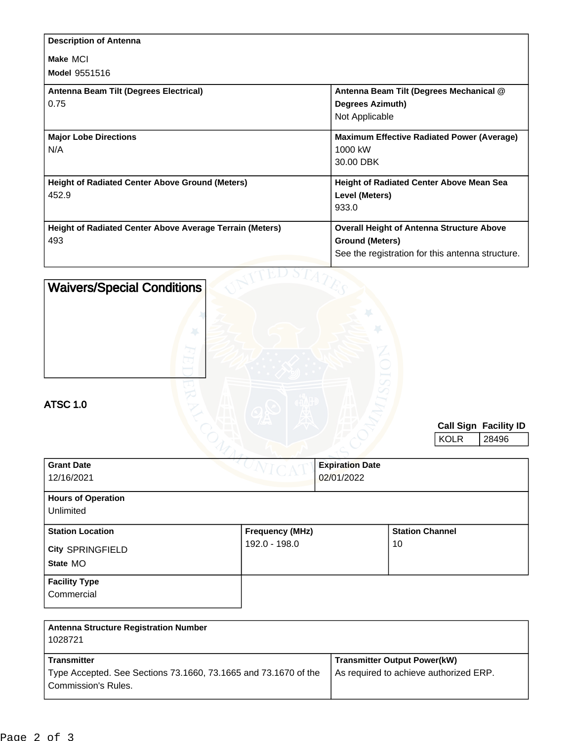| <b>Description of Antenna</b>                                   |                                                   |
|-----------------------------------------------------------------|---------------------------------------------------|
| Make MCI                                                        |                                                   |
| <b>Model 9551516</b>                                            |                                                   |
| Antenna Beam Tilt (Degrees Electrical)                          | Antenna Beam Tilt (Degrees Mechanical @           |
| 0.75                                                            | <b>Degrees Azimuth)</b>                           |
|                                                                 | Not Applicable                                    |
| <b>Major Lobe Directions</b>                                    | <b>Maximum Effective Radiated Power (Average)</b> |
| N/A                                                             | 1000 kW                                           |
|                                                                 | 30.00 DBK                                         |
| <b>Height of Radiated Center Above Ground (Meters)</b>          | <b>Height of Radiated Center Above Mean Sea</b>   |
| 452.9                                                           | Level (Meters)                                    |
|                                                                 | 933.0                                             |
| <b>Height of Radiated Center Above Average Terrain (Meters)</b> | <b>Overall Height of Antenna Structure Above</b>  |
| 493                                                             | <b>Ground (Meters)</b>                            |
|                                                                 | See the registration for this antenna structure.  |
|                                                                 |                                                   |

| <b>Waivers/Special Conditions</b><br><b>ATSC 1.0</b> |                        |                        | <b>KOLR</b>            | <b>Call Sign Facility ID</b><br>28496 |
|------------------------------------------------------|------------------------|------------------------|------------------------|---------------------------------------|
| <b>Grant Date</b>                                    |                        | <b>Expiration Date</b> |                        |                                       |
| 12/16/2021                                           |                        | 02/01/2022             |                        |                                       |
| <b>Hours of Operation</b><br>Unlimited               |                        |                        |                        |                                       |
| <b>Station Location</b>                              | <b>Frequency (MHz)</b> |                        | <b>Station Channel</b> |                                       |
| City SPRINGFIELD                                     | 192.0 - 198.0          |                        | 10                     |                                       |
| State MO                                             |                        |                        |                        |                                       |
| <b>Facility Type</b><br>Commercial                   |                        |                        |                        |                                       |

| <b>Transmitter Output Power(kW)</b><br>As required to achieve authorized ERP. |
|-------------------------------------------------------------------------------|
|                                                                               |